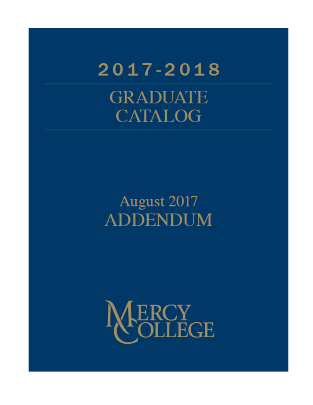# $2017 - 2018$ **GRADUATE CATALOG**

## August 2017 **ADDENDUM**

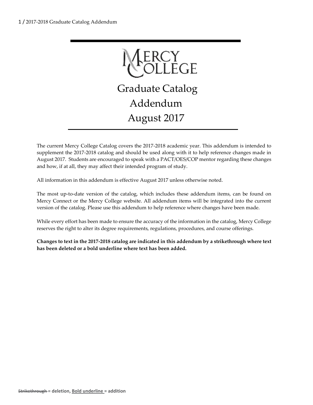

The current Mercy College Catalog covers the 2017-2018 academic year. This addendum is intended to supplement the 2017-2018 catalog and should be used along with it to help reference changes made in August 2017. Students are encouraged to speak with a PACT/OES/COP mentor regarding these changes and how, if at all, they may affect their intended program of study.

All information in this addendum is effective August 2017 unless otherwise noted.

The most up-to-date version of the catalog, which includes these addendum items, can be found on Mercy Connect or the Mercy College website. All addendum items will be integrated into the current version of the catalog. Please use this addendum to help reference where changes have been made.

While every effort has been made to ensure the accuracy of the information in the catalog, Mercy College reserves the right to alter its degree requirements, regulations, procedures, and course offerings.

**Changes to text in the 2017-2018 catalog are indicated in this addendum by a strikethrough where text has been deleted or a bold underline where text has been added.**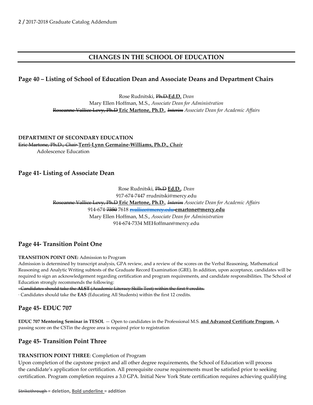## **CHANGES IN THE SCHOOL OF EDUCATION**

## **Page 40 – Listing of School of Education Dean and Associate Deans and Department Chairs**

Rose Rudnitski, Ph.D.**Ed.D.** *Dean* Mary Ellen Hoffman, M.S., *Associate Dean for Administration* Roseanne Vallice Levy, Ph.D **Eric Martone, Ph.D.**, *Interim Associate Dean for Academic Affairs*

**DEPARTMENT OF SECONDARY EDUCATION** Eric Martone, Ph.D., *Chair* **Terri-Lynn Germaine-Williams, Ph.D.,** *Chair* Adolescence Education

## **Page 41- Listing of Associate Dean**

Rose Rudnitski, Ph.D **Ed.D.**, *Dean* 917-674-7447 rrudnitski@mercy.edu Roseanne Vallice Levy, Ph.D **Eric Martone, Ph.D.**, *Interim Associate Dean for Academic Affairs* 914-674-7350 7618 [rvallice@mercy.edu](mailto:rvallice@mercy.edu) **emartone@mercy.edu** Mary Ellen Hoffman, M.S., *Associate Dean for Administration* 914-674-7334 MEHoffman@mercy.edu

## **Page 44- Transition Point One**

#### **TRANSITION POINT ONE:** Admission to Program

Admission is determined by transcript analysis, GPA review, and a review of the scores on the Verbal Reasoning, Mathematical Reasoning and Analytic Writing subtests of the Graduate Record Examination (GRE). In addition, upon acceptance, candidates will be required to sign an acknowledgement regarding certification and program requirements, and candidate responsibilities. The School of Education strongly recommends the following:

· Candidates should take the **ALST** (Academic Literacy Skills Test) within the first 9 credits.

· Candidates should take the **EAS** (Educating All Students) within the first 12 credits.

## **Page 45- EDUC 707**

**EDUC 707 Mentoring Seminar in TESOL** — Open to candidates in the Professional M.S. **and Advanced Certificate Program.** A passing score on the CSTin the degree area is required prior to registration

## **Page 45- Transition Point Three**

#### **TRANSITION POINT THREE**: Completion of Program

Upon completion of the capstone project and all other degree requirements, the School of Education will process the candidate's application for certification. All prerequisite course requirements must be satisfied prior to seeking certification. Program completion requires a 3.0 GPA. Initial New York State certification requires achieving qualifying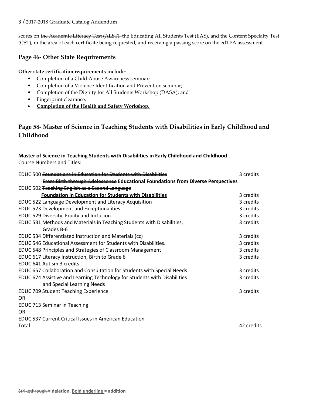#### 3 / 2017-2018 Graduate Catalog Addendum

scores on the Academic Literacy Test (ALST), the Educating All Students Test (EAS), and the Content Specialty Test (CST), in the area of each certificate being requested, and receiving a passing score on the edTPA assessment.

## **Page 46- Other State Requirements**

**Other state certification requirements include**:

- Completion of a Child Abuse Awareness seminar;
- Completion of a Violence Identification and Prevention seminar;
- Completion of the Dignity for All Students Workshop (DASA); and
- Fingerprint clearance.
- **Completion of the Health and Safety Workshop.**

## **Page 58- Master of Science in Teaching Students with Disabilities in Early Childhood and Childhood**

**Master of Science in Teaching Students with Disabilities in Early Childhood and Childhood** Course Numbers and Titles:

| <b>EDUC 500 <del>Foundations in Education for Students with Disabilities</del></b> | 3 credits  |
|------------------------------------------------------------------------------------|------------|
| From Birth through Adolescence Educational Foundations from Diverse Perspectives   |            |
| EDUC 502 Teaching English as a Second Language                                     |            |
| <b>Foundation in Education for Students with Disabilities</b>                      | 3 credits  |
| EDUC 522 Language Development and Literacy Acquisition                             | 3 credits  |
| EDUC 523 Development and Exceptionalities                                          | 3 credits  |
| EDUC 529 Diversity, Equity and Inclusion                                           | 3 credits  |
| EDUC 531 Methods and Materials in Teaching Students with Disabilities,             | 3 credits  |
| Grades B-6                                                                         |            |
| EDUC 534 Differentiated Instruction and Materials (cc)                             | 3 credits  |
| EDUC 546 Educational Assessment for Students with Disabilities.                    | 3 credits  |
| EDUC 548 Principles and Strategies of Classroom Management                         | 3 credits  |
| EDUC 617 Literacy Instruction, Birth to Grade 6                                    | 3 credits  |
| <b>EDUC 641 Autism 3 credits</b>                                                   |            |
| EDUC 657 Collaboration and Consultation for Students with Special Needs            | 3 credits  |
| EDUC 674 Assistive and Learning Technology for Students with Disabilities          | 3 credits  |
| and Special Learning Needs                                                         |            |
| <b>EDUC 709 Student Teaching Experience</b>                                        | 3 credits  |
| OR.                                                                                |            |
| EDUC 713 Seminar in Teaching                                                       |            |
| OR.                                                                                |            |
| <b>EDUC 537 Current Critical Issues in American Education</b>                      |            |
| Total                                                                              | 42 credits |
|                                                                                    |            |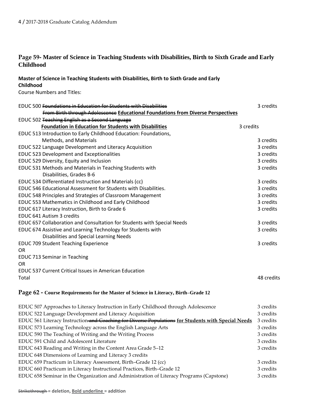## **Page 59- Master of Science in Teaching Students with Disabilities, Birth to Sixth Grade and Early Childhood**

## **Master of Science in Teaching Students with Disabilities, Birth to Sixth Grade and Early Childhood**

Course Numbers and Titles:

| <b>EDUC 500 Foundations in Education for Students with Disabilities</b>                 | 3 credits  |
|-----------------------------------------------------------------------------------------|------------|
| <b>From Birth through Adolescence Educational Foundations from Diverse Perspectives</b> |            |
| EDUC 502 Teaching English as a Second Language                                          |            |
| <b>Foundation in Education for Students with Disabilities</b>                           | 3 credits  |
| EDUC 513 Introduction to Early Childhood Education: Foundations,                        |            |
| Methods, and Materials                                                                  | 3 credits  |
| EDUC 522 Language Development and Literacy Acquisition                                  | 3 credits  |
| <b>EDUC 523 Development and Exceptionalities</b>                                        | 3 credits  |
| EDUC 529 Diversity, Equity and Inclusion                                                | 3 credits  |
| EDUC 531 Methods and Materials in Teaching Students with<br>Disabilities, Grades B-6    | 3 credits  |
| EDUC 534 Differentiated Instruction and Materials (cc)                                  | 3 credits  |
| EDUC 546 Educational Assessment for Students with Disabilities.                         | 3 credits  |
| EDUC 548 Principles and Strategies of Classroom Management                              | 3 credits  |
| EDUC 553 Mathematics in Childhood and Early Childhood                                   | 3 credits  |
| EDUC 617 Literacy Instruction, Birth to Grade 6                                         | 3 credits  |
| EDUC 641 Autism 3 credits                                                               |            |
| EDUC 657 Collaboration and Consultation for Students with Special Needs                 | 3 credits  |
| EDUC 674 Assistive and Learning Technology for Students with                            | 3 credits  |
| Disabilities and Special Learning Needs                                                 |            |
| <b>EDUC 709 Student Teaching Experience</b>                                             | 3 credits  |
| <b>OR</b>                                                                               |            |
| EDUC 713 Seminar in Teaching                                                            |            |
| <b>OR</b>                                                                               |            |
| <b>EDUC 537 Current Critical Issues in American Education</b>                           |            |
| Total                                                                                   | 48 credits |
| Page 62 - Course Requirements for the Master of Science in Literacy, Birth-Grade 12     |            |
| EDUC 507 Approaches to Literacy Instruction in Early Childhood through Adolescence      | 3 credits  |

| EDUC 522 Language Development and Literacy Acquisition                                             | 3 credits |
|----------------------------------------------------------------------------------------------------|-----------|
| EDUC 561 Literacy Instruction and Coaching for Diverse Populations for Students with Special Needs | 3 credits |
| EDUC 573 Learning Technology across the English Language Arts                                      | 3 credits |
| EDUC 590 The Teaching of Writing and the Writing Process                                           | 3 credits |
| EDUC 591 Child and Adolescent Literature                                                           | 3 credits |
| EDUC 643 Reading and Writing in the Content Area Grade 5–12                                        | 3 credits |
| EDUC 648 Dimensions of Learning and Literacy 3 credits                                             |           |
| EDUC 659 Practicum in Literacy Assessment, Birth-Grade 12 (cc)                                     | 3 credits |
| EDUC 660 Practicum in Literacy Instructional Practices, Birth-Grade 12                             | 3 credits |
| EDUC 658 Seminar in the Organization and Administration of Literacy Programs (Capstone)            | 3 credits |
|                                                                                                    |           |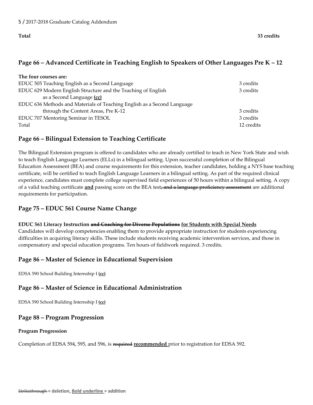## **Page 66 – Advanced Certificate in Teaching English to Speakers of Other Languages Pre K – 12**

| 3 credits  |
|------------|
| 3 credits  |
|            |
|            |
| 3 credits  |
| 3 credits  |
| 12 credits |
|            |

## **Page 66 – Bilingual Extension to Teaching Certificate**

The Bilingual Extension program is offered to candidates who are already certified to teach in New York State and wish to teach English Language Learners (ELLs) in a bilingual setting. Upon successful completion of the Bilingual Education Assessment (BEA) and course requirements for this extension, teacher candidates, holding a NYS base teaching certificate, will be certified to teach English Language Learners in a bilingual setting. As part of the required clinical experience, candidates must complete college supervised field experiences of 50 hours within a bilingual setting. A copy of a valid teaching certificate **and** passing score on the BEA test, and a language proficiency assessment are additional requirements for participation.

## **Page 75 – EDUC 561 Course Name Change**

## **EDUC 561 Literacy Instruction and Coaching for Diverse Populations for Students with Special Needs**

Candidates will develop competencies enabling them to provide appropriate instruction for students experiencing difficulties in acquiring literacy skills. These include students receiving academic intervention services, and those in compensatory and special education programs. Ten hours of fieldwork required. 3 credits.

## **Page 86 – Master of Science in Educational Supervision**

EDSA 590 School Building Internship I **(cc)**

## **Page 86 – Master of Science in Educational Administration**

EDSA 590 School Building Internship I **(cc)**

## **Page 88 – Program Progression**

#### **Program Progression**

Completion of EDSA 594, 595, and 596, is required **recommended** prior to registration for EDSA 592.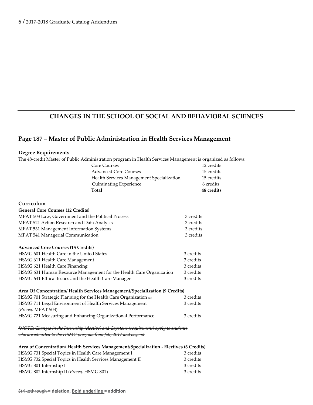## **CHANGES IN THE SCHOOL OF SOCIAL AND BEHAVIORAL SCIENCES**

#### **Page 187 – Master of Public Administration in Health Services Management**

#### **Degree Requirements**

The 48-credit Master of Public Administration program in Health Services Management is organized as follows:

| Total                                     | 48 credits |
|-------------------------------------------|------------|
| <b>Culminating Experience</b>             | 6 credits  |
| Health Services Management Specialization | 15 credits |
| <b>Advanced Core Courses</b>              | 15 credits |
| <b>Core Courses</b>                       | 12 credits |

#### **Curriculum**

## **General Core Courses (12 Credits)** MPAT 503 Law, Government and the Political Process 3 credits MPAT 521 Action Research and Data Analysis 3 credits 3 credits MPAT 531 Management Information Systems 3 credits MPAT 541 Managerial Communication 3 credits **Advanced Core Courses (15 Credits)** HSMG 601 Health Care in the United States 3 credits 3 credits HSMG 611 Health Care Management 3 credits HSMG 621 Health Care Financing 3 credits 3 credits HSMG 631 Human Resource Management for the Health Care Organization 3 credits HSMG 641 Ethical Issues and the Health Care Manager 3 credits **Area Of Concentration/ Health Services Management/Specialization (9 Credits)** HSMG 701 Strategic Planning for the Health Care Organization (cc) 3 credits HSMG 711 Legal Environment of Health Services Management 3 credits (*Prereq.* MPAT 503) HSMG 721 Measuring and Enhancing Organizational Performance 3 credits *\*NOTE: Changes in the Internship (elective) and Capstone (requirement) apply to students*

who are admitted to the HSMC program from fall, 2017 and beyo

| Area of Concentration/Health Services Management/Specialization - Electives (6 Credits) |  |  |
|-----------------------------------------------------------------------------------------|--|--|
|-----------------------------------------------------------------------------------------|--|--|

| 3 credits |
|-----------|
| 3 credits |
| 3 credits |
| 3 credits |
|           |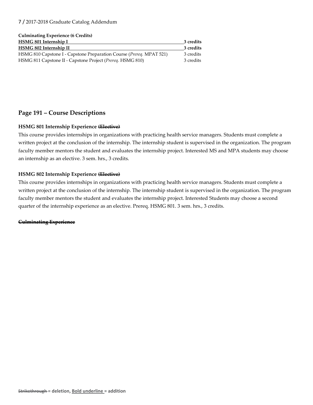#### 7 / 2017-2018 Graduate Catalog Addendum

#### **Culminating Experience (6 Credits)**

| HSMG 801 Internship I                                                         |           |
|-------------------------------------------------------------------------------|-----------|
| <b>HSMG 802 Internship II</b>                                                 | 3 credits |
| HSMG 810 Capstone I - Capstone Preparation Course ( <i>Prereq. MPAT 521</i> ) | 3 credits |
| HSMG 811 Capstone II - Capstone Project ( <i>Prereq.</i> HSMG 810)            | 3 credits |

#### **Page 191 – Course Descriptions**

#### **HSMG 801 Internship Experience (Elective)**

This course provides internships in organizations with practicing health service managers. Students must complete a written project at the conclusion of the internship. The internship student is supervised in the organization. The program faculty member mentors the student and evaluates the internship project. Interested MS and MPA students may choose an internship as an elective. 3 sem. hrs., 3 credits.

#### **HSMG 802 Internship Experience (Elective)**

This course provides internships in organizations with practicing health service managers. Students must complete a written project at the conclusion of the internship. The internship student is supervised in the organization. The program faculty member mentors the student and evaluates the internship project. Interested Students may choose a second quarter of the internship experience as an elective. Prereq. HSMG 801. 3 sem. hrs., 3 credits.

#### **Culminating Experience**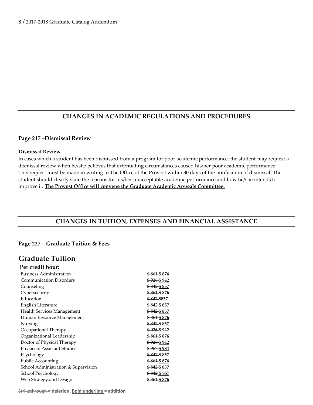## **CHANGES IN ACADEMIC REGULATIONS AND PROCEDURES**

#### **Page 217 –Dismissal Review**

#### **Dismissal Review**

In cases which a student has been dismissed from a program for poor academic performance, the student may request a dismissal review when he/she believes that extenuating circumstances caused his/her poor academic performance. This request must be made in writing to The Office of the Provost within 30 days of the notification of dismissal. The student should clearly state the reasons for his/her unacceptable academic performance and how he/she intends to improve it. **The Provost Office will convene the Graduate Academic Appeals Committee.**

## **CHANGES IN TUITION, EXPENSES AND FINANCIAL ASSISTANCE**

#### **Page 227 – Graduate Tuition & Fees**

## **Graduate Tuition**

| Per credit hour:                    |                         |
|-------------------------------------|-------------------------|
| <b>Business Administration</b>      | <del>\$861</del> \$876  |
| <b>Communication Disorders</b>      | \$926 \$942             |
| Counseling                          | <del>\$842</del> \$857  |
| Cybersecurity                       | \$861\$876              |
| Education                           | \$842 \$857             |
| English Literature                  | <del>\$842 </del> \$857 |
| Health Services Management          | \$842 \$857             |
| Human Resource Management           | <del>\$861</del> \$876  |
| Nursing                             | \$842 \$857             |
| Occupational Therapy                | \$926 \$942             |
| Organizational Leadership           | \$861 \$876             |
| Doctor of Physical Therapy          | \$926 \$942             |
| Physician Assistant Studies         | <del>\$967</del> \$984  |
| Psychology                          | \$842 \$857             |
| Public Accounting                   | \$861 \$876             |
| School Administration & Supervision | \$842 \$857             |
| School Psychology                   | \$842 \$857             |
| Web Strategy and Design             | <del>\$861</del> \$876  |

Strikethrough **= deletion, Bold underline = addition**